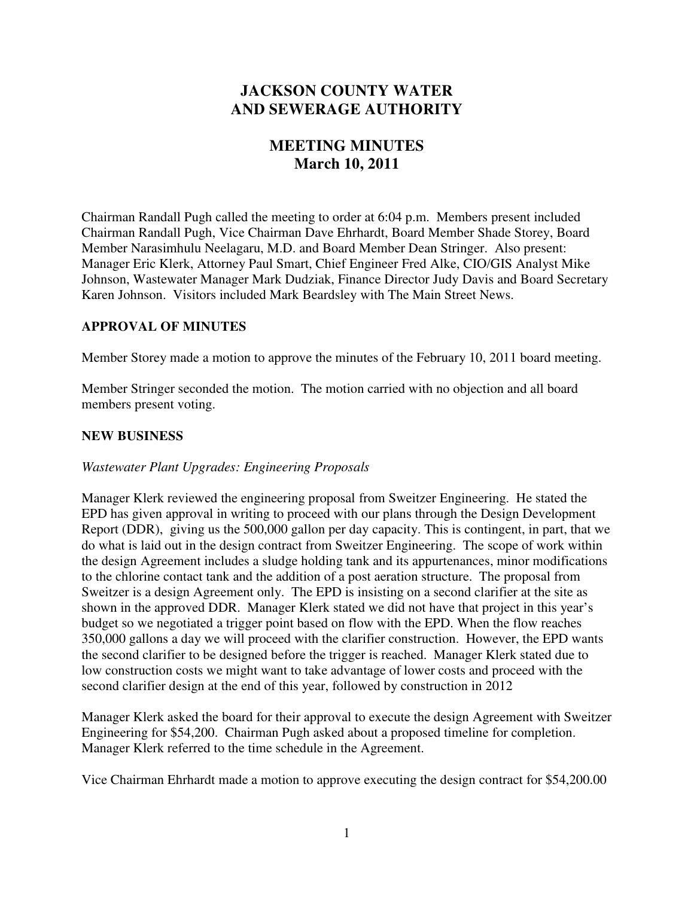# **JACKSON COUNTY WATER AND SEWERAGE AUTHORITY**

# **MEETING MINUTES March 10, 2011**

Chairman Randall Pugh called the meeting to order at 6:04 p.m. Members present included Chairman Randall Pugh, Vice Chairman Dave Ehrhardt, Board Member Shade Storey, Board Member Narasimhulu Neelagaru, M.D. and Board Member Dean Stringer. Also present: Manager Eric Klerk, Attorney Paul Smart, Chief Engineer Fred Alke, CIO/GIS Analyst Mike Johnson, Wastewater Manager Mark Dudziak, Finance Director Judy Davis and Board Secretary Karen Johnson. Visitors included Mark Beardsley with The Main Street News.

## **APPROVAL OF MINUTES**

Member Storey made a motion to approve the minutes of the February 10, 2011 board meeting.

Member Stringer seconded the motion. The motion carried with no objection and all board members present voting.

## **NEW BUSINESS**

## *Wastewater Plant Upgrades: Engineering Proposals*

Manager Klerk reviewed the engineering proposal from Sweitzer Engineering. He stated the EPD has given approval in writing to proceed with our plans through the Design Development Report (DDR), giving us the 500,000 gallon per day capacity. This is contingent, in part, that we do what is laid out in the design contract from Sweitzer Engineering. The scope of work within the design Agreement includes a sludge holding tank and its appurtenances, minor modifications to the chlorine contact tank and the addition of a post aeration structure. The proposal from Sweitzer is a design Agreement only. The EPD is insisting on a second clarifier at the site as shown in the approved DDR. Manager Klerk stated we did not have that project in this year's budget so we negotiated a trigger point based on flow with the EPD. When the flow reaches 350,000 gallons a day we will proceed with the clarifier construction. However, the EPD wants the second clarifier to be designed before the trigger is reached. Manager Klerk stated due to low construction costs we might want to take advantage of lower costs and proceed with the second clarifier design at the end of this year, followed by construction in 2012

Manager Klerk asked the board for their approval to execute the design Agreement with Sweitzer Engineering for \$54,200. Chairman Pugh asked about a proposed timeline for completion. Manager Klerk referred to the time schedule in the Agreement.

Vice Chairman Ehrhardt made a motion to approve executing the design contract for \$54,200.00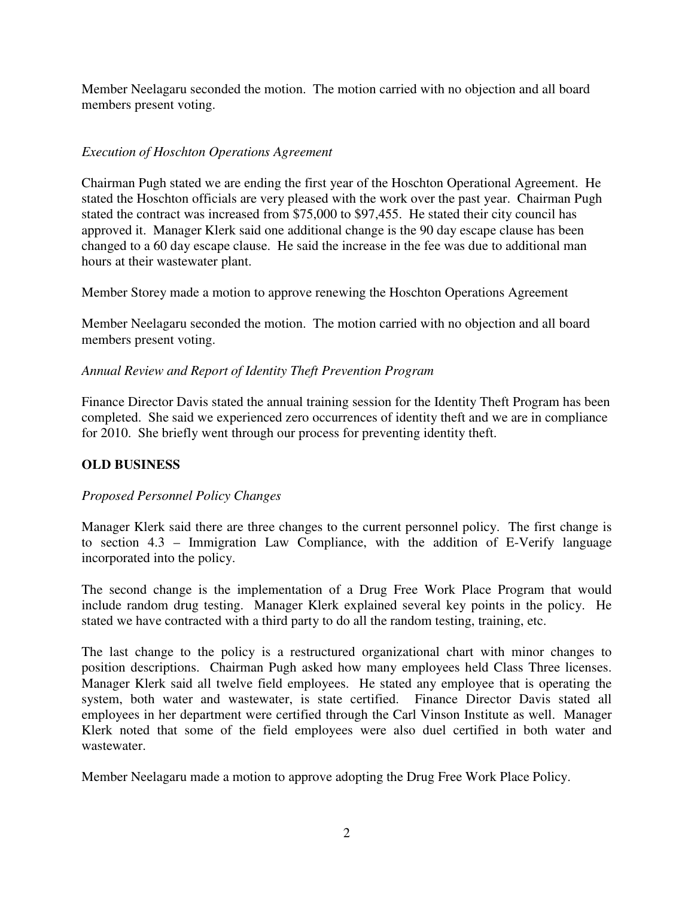Member Neelagaru seconded the motion. The motion carried with no objection and all board members present voting.

## *Execution of Hoschton Operations Agreement*

Chairman Pugh stated we are ending the first year of the Hoschton Operational Agreement. He stated the Hoschton officials are very pleased with the work over the past year. Chairman Pugh stated the contract was increased from \$75,000 to \$97,455. He stated their city council has approved it. Manager Klerk said one additional change is the 90 day escape clause has been changed to a 60 day escape clause. He said the increase in the fee was due to additional man hours at their wastewater plant.

Member Storey made a motion to approve renewing the Hoschton Operations Agreement

Member Neelagaru seconded the motion. The motion carried with no objection and all board members present voting.

## *Annual Review and Report of Identity Theft Prevention Program*

Finance Director Davis stated the annual training session for the Identity Theft Program has been completed. She said we experienced zero occurrences of identity theft and we are in compliance for 2010. She briefly went through our process for preventing identity theft.

## **OLD BUSINESS**

## *Proposed Personnel Policy Changes*

Manager Klerk said there are three changes to the current personnel policy. The first change is to section 4.3 – Immigration Law Compliance, with the addition of E-Verify language incorporated into the policy.

The second change is the implementation of a Drug Free Work Place Program that would include random drug testing. Manager Klerk explained several key points in the policy. He stated we have contracted with a third party to do all the random testing, training, etc.

The last change to the policy is a restructured organizational chart with minor changes to position descriptions. Chairman Pugh asked how many employees held Class Three licenses. Manager Klerk said all twelve field employees. He stated any employee that is operating the system, both water and wastewater, is state certified. Finance Director Davis stated all employees in her department were certified through the Carl Vinson Institute as well. Manager Klerk noted that some of the field employees were also duel certified in both water and wastewater.

Member Neelagaru made a motion to approve adopting the Drug Free Work Place Policy.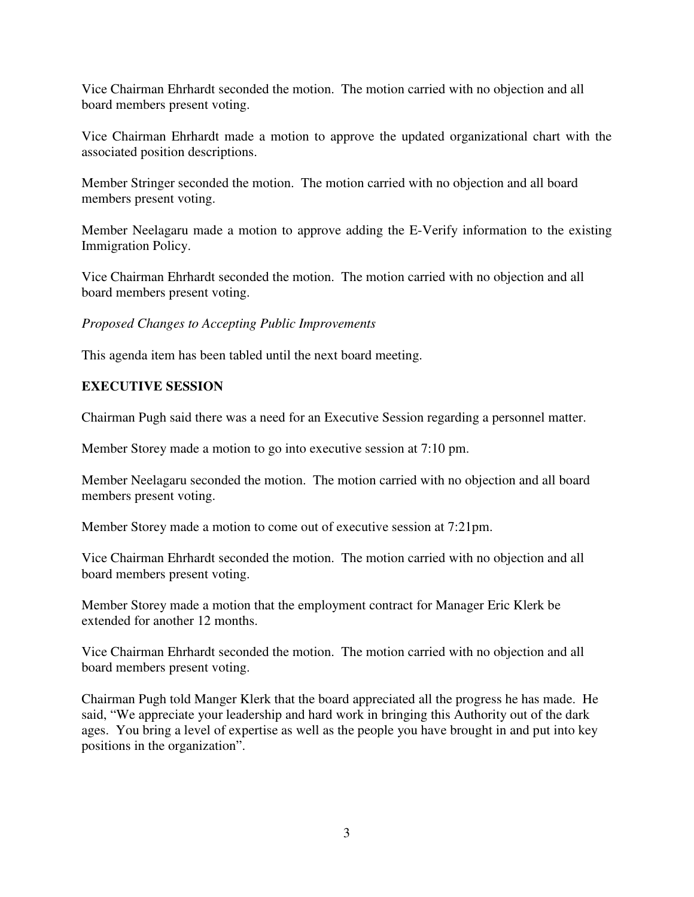Vice Chairman Ehrhardt seconded the motion. The motion carried with no objection and all board members present voting.

Vice Chairman Ehrhardt made a motion to approve the updated organizational chart with the associated position descriptions.

Member Stringer seconded the motion. The motion carried with no objection and all board members present voting.

Member Neelagaru made a motion to approve adding the E-Verify information to the existing Immigration Policy.

Vice Chairman Ehrhardt seconded the motion. The motion carried with no objection and all board members present voting.

*Proposed Changes to Accepting Public Improvements* 

This agenda item has been tabled until the next board meeting.

## **EXECUTIVE SESSION**

Chairman Pugh said there was a need for an Executive Session regarding a personnel matter.

Member Storey made a motion to go into executive session at 7:10 pm.

Member Neelagaru seconded the motion. The motion carried with no objection and all board members present voting.

Member Storey made a motion to come out of executive session at 7:21pm.

Vice Chairman Ehrhardt seconded the motion. The motion carried with no objection and all board members present voting.

Member Storey made a motion that the employment contract for Manager Eric Klerk be extended for another 12 months.

Vice Chairman Ehrhardt seconded the motion. The motion carried with no objection and all board members present voting.

Chairman Pugh told Manger Klerk that the board appreciated all the progress he has made. He said, "We appreciate your leadership and hard work in bringing this Authority out of the dark ages. You bring a level of expertise as well as the people you have brought in and put into key positions in the organization".